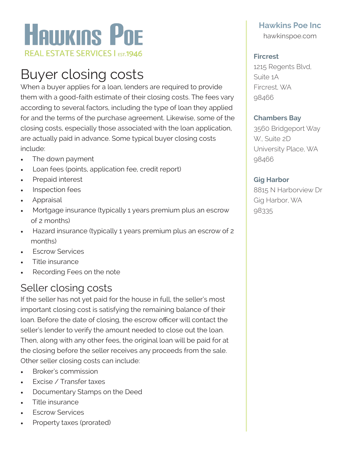

# Buyer closing costs

When a buyer applies for a loan, lenders are required to provide them with a good-faith estimate of their closing costs. The fees vary according to several factors, including the type of loan they applied for and the terms of the purchase agreement. Likewise, some of the closing costs, especially those associated with the loan application, are actually paid in advance. Some typical buyer closing costs include:

- The down payment
- Loan fees (points, application fee, credit report)
- Prepaid interest
- Inspection fees
- Appraisal
- Mortgage insurance (typically 1 years premium plus an escrow of 2 months)
- Hazard insurance (typically 1 years premium plus an escrow of 2 months)
- **Fscrow Services**
- Title insurance
- Recording Fees on the note

### Seller closing costs

If the seller has not yet paid for the house in full, the seller's most important closing cost is satisfying the remaining balance of their loan. Before the date of closing, the escrow officer will contact the seller's lender to verify the amount needed to close out the loan. Then, along with any other fees, the original loan will be paid for at the closing before the seller receives any proceeds from the sale. Other seller closing costs can include:

- Broker's commission
- **Excise / Transfer taxes**
- Documentary Stamps on the Deed
- Title insurance
- **Fscrow Services**
- Property taxes (prorated)

## **Hawkins Poe Inc**

hawkinspoe.com

#### **Fircrest**

1215 Regents Blvd, Suite 1A Fircrest, WA 98466

#### **Chambers Bay**

3560 Bridgeport Way W., Suite 2D University Place, WA 98466

### **Gig Harbor**

8815 N Harborview Dr Gig Harbor, WA 98335